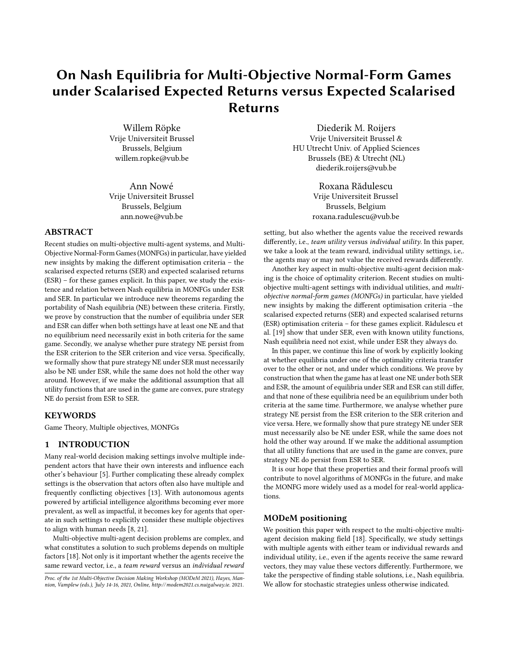# On Nash Equilibria for Multi-Objective Normal-Form Games under Scalarised Expected Returns versus Expected Scalarised Returns

Willem Röpke Vrije Universiteit Brussel Brussels, Belgium willem.ropke@vub.be

Ann Nowé Vrije Universiteit Brussel Brussels, Belgium ann.nowe@vub.be

# ABSTRACT

Recent studies on multi-objective multi-agent systems, and Multi-Objective Normal-Form Games (MONFGs) in particular, have yielded new insights by making the different optimisation criteria – the scalarised expected returns (SER) and expected scalarised returns (ESR) – for these games explicit. In this paper, we study the existence and relation between Nash equilibria in MONFGs under ESR and SER. In particular we introduce new theorems regarding the portability of Nash equilibria (NE) between these criteria. Firstly, we prove by construction that the number of equilibria under SER and ESR can differ when both settings have at least one NE and that no equilibrium need necessarily exist in both criteria for the same game. Secondly, we analyse whether pure strategy NE persist from the ESR criterion to the SER criterion and vice versa. Specifically, we formally show that pure strategy NE under SER must necessarily also be NE under ESR, while the same does not hold the other way around. However, if we make the additional assumption that all utility functions that are used in the game are convex, pure strategy NE do persist from ESR to SER.

## KEYWORDS

Game Theory, Multiple objectives, MONFGs

## 1 INTRODUCTION

Many real-world decision making settings involve multiple independent actors that have their own interests and influence each other's behaviour [\[5\]](#page-5-0). Further complicating these already complex settings is the observation that actors often also have multiple and frequently conflicting objectives [\[13\]](#page-5-1). With autonomous agents powered by artificial intelligence algorithms becoming ever more prevalent, as well as impactful, it becomes key for agents that operate in such settings to explicitly consider these multiple objectives to align with human needs [\[8,](#page-5-2) [21\]](#page-5-3).

Multi-objective multi-agent decision problems are complex, and what constitutes a solution to such problems depends on multiple factors [\[18\]](#page-5-4). Not only is it important whether the agents receive the same reward vector, i.e., a team reward versus an individual reward

Diederik M. Roijers Vrije Universiteit Brussel & HU Utrecht Univ. of Applied Sciences Brussels (BE) & Utrecht (NL) diederik.roijers@vub.be

> Roxana Rădulescu Vrije Universiteit Brussel Brussels, Belgium roxana.radulescu@vub.be

setting, but also whether the agents value the received rewards differently, i.e., team utility versus individual utility. In this paper, we take a look at the team reward, individual utility settings, i.e,. the agents may or may not value the received rewards differently.

Another key aspect in multi-objective multi-agent decision making is the choice of optimality criterion. Recent studies on multiobjective multi-agent settings with individual utilities, and multiobjective normal-form games (MONFGs) in particular, have yielded new insights by making the different optimisation criteria –the scalarised expected returns (SER) and expected scalarised returns (ESR) optimisation criteria – for these games explicit. Rădulescu et al. [\[19\]](#page-5-5) show that under SER, even with known utility functions, Nash equilibria need not exist, while under ESR they always do.

In this paper, we continue this line of work by explicitly looking at whether equilibria under one of the optimality criteria transfer over to the other or not, and under which conditions. We prove by construction that when the game has at least one NE under both SER and ESR, the amount of equilibria under SER and ESR can still differ, and that none of these equilibria need be an equilibrium under both criteria at the same time. Furthermore, we analyse whether pure strategy NE persist from the ESR criterion to the SER criterion and vice versa. Here, we formally show that pure strategy NE under SER must necessarily also be NE under ESR, while the same does not hold the other way around. If we make the additional assumption that all utility functions that are used in the game are convex, pure strategy NE do persist from ESR to SER.

It is our hope that these properties and their formal proofs will contribute to novel algorithms of MONFGs in the future, and make the MONFG more widely used as a model for real-world applications.

## MODeM positioning

We position this paper with respect to the multi-objective multiagent decision making field [\[18\]](#page-5-4). Specifically, we study settings with multiple agents with either team or individual rewards and individual utility, i.e., even if the agents receive the same reward vectors, they may value these vectors differently. Furthermore, we take the perspective of finding stable solutions, i.e., Nash equilibria. We allow for stochastic strategies unless otherwise indicated.

Proc. of the 1st Multi-Objective Decision Making Workshop (MODeM 2021), Hayes, Mannion, Vamplew (eds.), July 14-16, 2021, Online,<http://modem2021.cs.nuigalway.ie>. 2021.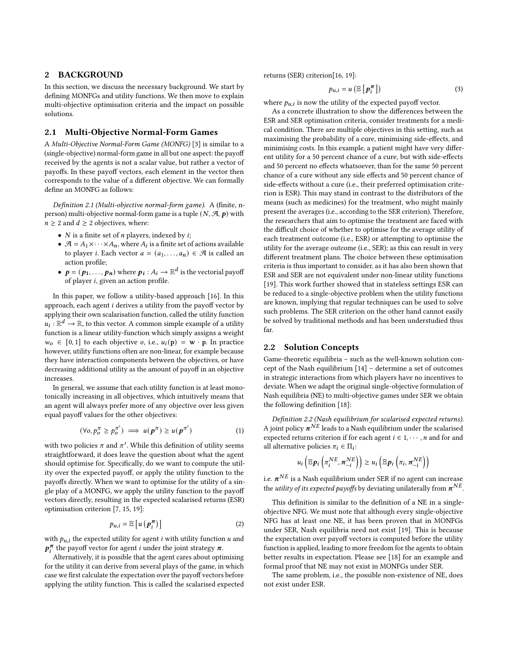## 2 BACKGROUND

In this section, we discuss the necessary background. We start by defining MONFGs and utility functions. We then move to explain multi-objective optimisation criteria and the impact on possible solutions.

## 2.1 Multi-Objective Normal-Form Games

A Multi-Objective Normal-Form Game (MONFG) [\[3\]](#page-5-6) is similar to a (single-objective) normal-form game in all but one aspect: the payoff received by the agents is not a scalar value, but rather a vector of payoffs. In these payoff vectors, each element in the vector then corresponds to the value of a different objective. We can formally define an MONFG as follows:

Definition 2.1 (Multi-objective normal-form game). A (finite, nperson) multi-objective normal-form game is a tuple  $(N, \mathcal{A}, p)$  with  $n \geq 2$  and  $d \geq 2$  objectives, where:

- $N$  is a finite set of  $n$  players, indexed by  $i$ ;
- $\bullet$   $\mathcal{A} = A_1 \times \cdots \times A_n$ , where  $A_i$  is a finite set of actions available to player *i*. Each vector  $a = (a_1, \ldots, a_n) \in \mathcal{A}$  is called an action profile;
- $p = (p_1, ..., p_n)$  where  $p_i : A_i \rightarrow \mathbb{R}^d$  is the vectorial payoff of player  $i$ , given an action profile.

In this paper, we follow a utility-based approach [\[16\]](#page-5-7). In this approach, each agent  $i$  derives a utility from the payoff vector by applying their own scalarisation function, called the utility function  $u_i : \mathbb{R}^d \to \mathbb{R}$ , to this vector. A common simple example of a utility function is a linear utility-function which simply assigns a weight  $w_0 \in [0, 1]$  to each objective *o*, i.e.,  $u_i(\mathbf{p}) = \mathbf{w} \cdot \mathbf{p}$ . In practice however, utility functions often are non-linear, for example because they have interaction components between the objectives, or have decreasing additional utility as the amount of payoff in an objective increases.

In general, we assume that each utility function is at least monotonically increasing in all objectives, which intuitively means that an agent will always prefer more of any objective over less given equal payoff values for the other objectives:

$$
(\forall o, p_o^{\pi} \ge p_o^{\pi'}) \implies u(\mathbf{p}^{\pi}) \ge u(\mathbf{p}^{\pi'}) \tag{1}
$$

with two policies  $\pi$  and  $\pi'$ . While this definition of utility seems straightforward, it does leave the question about what the agent should optimise for. Specifically, do we want to compute the utility over the expected payoff, or apply the utility function to the payoffs directly. When we want to optimise for the utility of a single play of a MONFG, we apply the utility function to the payoff vectors directly, resulting in the expected scalarised returns (ESR) optimisation criterion [\[7,](#page-5-8) [15,](#page-5-9) [19\]](#page-5-5):

$$
p_{u,i} = \mathbb{E}\left[u\left(\boldsymbol{p}_i^{\boldsymbol{\pi}}\right)\right] \tag{2}
$$

with  $p_{u,i}$  the expected utility for agent *i* with utility function  $u$  and  $p_i^{\pi}$  the payoff vector for agent *i* under the joint strategy  $\pi$ .

Alternatively, it is possible that the agent cares about optimising for the utility it can derive from several plays of the game, in which case we first calculate the expectation over the payoff vectors before applying the utility function. This is called the scalarised expected returns (SER) criterion[\[16,](#page-5-7) [19\]](#page-5-5):

$$
p_{u,i} = u\left(\mathbb{E}\left[\boldsymbol{p}_i^{\boldsymbol{\pi}}\right]\right) \tag{3}
$$

where  $p_{u,i}$  is now the utility of the expected payoff vector.

As a concrete illustration to show the differences between the ESR and SER optimisation criteria, consider treatments for a medical condition. There are multiple objectives in this setting, such as maximising the probability of a cure, minimising side-effects, and minimising costs. In this example, a patient might have very different utility for a 50 percent chance of a cure, but with side-effects and 50 percent no effects whatsoever, than for the same 50 percent chance of a cure without any side effects and 50 percent chance of side-effects without a cure (i.e., their preferred optimisation criterion is ESR). This may stand in contrast to the distributors of the means (such as medicines) for the treatment, who might mainly present the averages (i.e., according to the SER criterion). Therefore, the researchers that aim to optimise the treatment are faced with the difficult choice of whether to optimise for the average utility of each treatment outcome (i.e., ESR) or attempting to optimise the utility for the average outcome (i.e., SER); as this can result in very different treatment plans. The choice between these optimisation criteria is thus important to consider, as it has also been shown that ESR and SER are not equivalent under non-linear utility functions [\[19\]](#page-5-5). This work further showed that in stateless settings ESR can be reduced to a single-objective problem when the utility functions are known, implying that regular techniques can be used to solve such problems. The SER criterion on the other hand cannot easily be solved by traditional methods and has been understudied thus far.

#### 2.2 Solution Concepts

Game-theoretic equilibria – such as the well-known solution concept of the Nash equilibrium [\[14\]](#page-5-10) – determine a set of outcomes in strategic interactions from which players have no incentives to deviate. When we adapt the original single-objective formulation of Nash equilibria (NE) to multi-objective games under SER we obtain the following definition [\[18\]](#page-5-4):

Definition 2.2 (Nash equilibrium for scalarised expected returns). A joint policy  $\pi^{NE}$  leads to a Nash equilibrium under the scalarised expected returns criterion if for each agent  $i \in 1, \cdots, n$  and for and all alternative policies  $\pi_i \in \Pi_i$ :

$$
u_i\left(\mathbb{E}\boldsymbol{p}_i\left(\pi_i^{NE},\boldsymbol{\pi}_{-i}^{NE}\right)\right)\geq u_i\left(\mathbb{E}\boldsymbol{p}_i\left(\pi_i,\boldsymbol{\pi}_{-i}^{NE}\right)\right)
$$

i.e.  $\pmb{\pi}^{NE}$  is a Nash equilibrium under SER if no agent can increase the *utility of its expected payoffs* by deviating unilaterally from  $\boldsymbol{\pi}^{NE}$ .

This definition is similar to the definition of a NE in a singleobjective NFG. We must note that although every single-objective NFG has at least one NE, it has been proven that in MONFGs under SER, Nash equilibria need not exist [\[19\]](#page-5-5). This is because the expectation over payoff vectors is computed before the utility function is applied, leading to more freedom for the agents to obtain better results in expectation. Please see [\[18\]](#page-5-4) for an example and formal proof that NE may not exist in MONFGs under SER.

The same problem, i.e., the possible non-existence of NE, does not exist under ESR.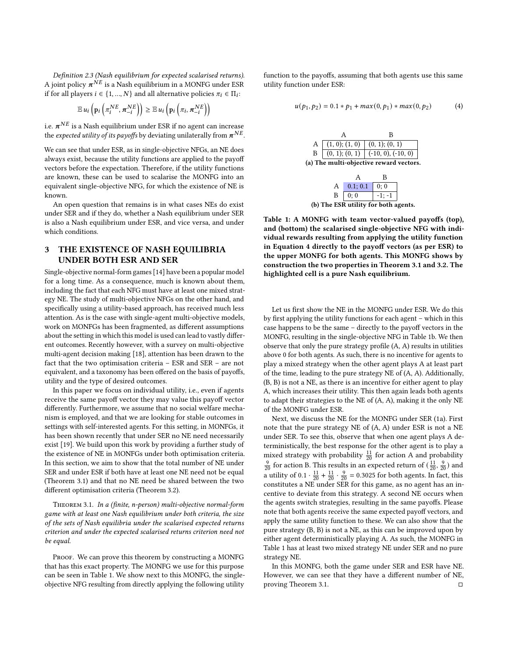Definition 2.3 (Nash equilibrium for expected scalarised returns). A joint policy  $\pi^{\dot{N}E}$  is a Nash equilibrium in a MONFG under ESR if for all players  $i \in \{1, ..., N\}$  and all alternative policies  $\pi_i \in \Pi_i$ :

$$
\mathbb{E} u_i\left(\mathbf{p}_i\left(\pi_i^{NE}, \pi_{-i}^{NE}\right)\right) \geq \mathbb{E} u_i\left(\mathbf{p}_i\left(\pi_i, \pi_{-i}^{NE}\right)\right)
$$

i.e.  $\pmb{\pi}^{NE}$  is a Nash equilibrium under ESR if no agent can increase the expected utility of its payoffs by deviating unilaterally from  $\boldsymbol{\pi}^{NE}$ .

We can see that under ESR, as in single-objective NFGs, an NE does always exist, because the utility functions are applied to the payoff vectors before the expectation. Therefore, if the utility functions are known, these can be used to scalarise the MONFG into an equivalent single-objective NFG, for which the existence of NE is known.

An open question that remains is in what cases NEs do exist under SER and if they do, whether a Nash equilibrium under SER is also a Nash equilibrium under ESR, and vice versa, and under which conditions.

# 3 THE EXISTENCE OF NASH EQUILIBRIA UNDER BOTH ESR AND SER

Single-objective normal-form games [\[14\]](#page-5-10) have been a popular model for a long time. As a consequence, much is known about them, including the fact that each NFG must have at least one mixed strategy NE. The study of multi-objective NFGs on the other hand, and specifically using a utility-based approach, has received much less attention. As is the case with single-agent multi-objective models, work on MONFGs has been fragmented, as different assumptions about the setting in which this model is used can lead to vastly different outcomes. Recently however, with a survey on multi-objective multi-agent decision making [\[18\]](#page-5-4), attention has been drawn to the fact that the two optimisation criteria – ESR and SER – are not equivalent, and a taxonomy has been offered on the basis of payoffs, utility and the type of desired outcomes.

In this paper we focus on individual utility, i.e., even if agents receive the same payoff vector they may value this payoff vector differently. Furthermore, we assume that no social welfare mechanism is employed, and that we are looking for stable outcomes in settings with self-interested agents. For this setting, in MONFGs, it has been shown recently that under SER no NE need necessarily exist [\[19\]](#page-5-5). We build upon this work by providing a further study of the existence of NE in MONFGs under both optimisation criteria. In this section, we aim to show that the total number of NE under SER and under ESR if both have at least one NE need not be equal (Theorem [3.1\)](#page-2-0) and that no NE need be shared between the two different optimisation criteria (Theorem [3.2\)](#page-3-0).

<span id="page-2-0"></span>Theorem 3.1. In a (finite, n-person) multi-objective normal-form game with at least one Nash equilibrium under both criteria, the size of the sets of Nash equilibria under the scalarised expected returns criterion and under the expected scalarised returns criterion need not be equal.

PROOF. We can prove this theorem by constructing a MONFG that has this exact property. The MONFG we use for this purpose can be seen in Table [1.](#page-2-1) We show next to this MONFG, the singleobjective NFG resulting from directly applying the following utility

function to the payoffs, assuming that both agents use this same utility function under ESR:

<span id="page-2-2"></span><span id="page-2-1"></span>
$$
u(p_1, p_2) = 0.1 * p_1 + \max(0, p_1) * \max(0, p_2)
$$
 (4)

|                                         | A $\boxed{(1, 0)}$ ; (1, 0) $\boxed{(0, 1)}$ ; (0, 1) |                                                      |  |  |
|-----------------------------------------|-------------------------------------------------------|------------------------------------------------------|--|--|
|                                         |                                                       | $B \mid (0, 1); (0, 1) \mid (-10, 0), (-10, 0) \mid$ |  |  |
| (a) The multi-objective reward vectors. |                                                       |                                                      |  |  |

|                                      | $A \mid 0.1; 0.1 \mid 0; 0$ |          |  |  |  |
|--------------------------------------|-----------------------------|----------|--|--|--|
|                                      | $B \mid 0; 0$               | $-1: -1$ |  |  |  |
| (b) The ESR utility for both agents. |                             |          |  |  |  |

Table 1: A MONFG with team vector-valued payoffs (top), and (bottom) the scalarised single-objective NFG with individual rewards resulting from applying the utility function in Equation [4](#page-2-2) directly to the payoff vectors (as per ESR) to the upper MONFG for both agents. This MONFG shows by construction the two properties in Theorem [3.1](#page-2-0) and [3.2.](#page-3-0) The highlighted cell is a pure Nash equilibrium.

Let us first show the NE in the MONFG under ESR. We do this by first applying the utility functions for each agent – which in this case happens to be the same – directly to the payoff vectors in the MONFG, resulting in the single-objective NFG in Table [1b.](#page-2-1) We then observe that only the pure strategy profile (A, A) results in utilities above 0 for both agents. As such, there is no incentive for agents to play a mixed strategy when the other agent plays A at least part of the time, leading to the pure strategy NE of (A, A). Additionally, (B, B) is not a NE, as there is an incentive for either agent to play A, which increases their utility. This then again leads both agents to adapt their strategies to the NE of (A, A), making it the only NE of the MONFG under ESR.

Next, we discuss the NE for the MONFG under SER [\(1a\)](#page-2-1). First note that the pure strategy NE of (A, A) under ESR is not a NE under SER. To see this, observe that when one agent plays A deterministically, the best response for the other agent is to play a mixed strategy with probability  $\frac{11}{20}$  for action A and probability  $\frac{9}{20}$  for action B. This results in an expected return of  $(\frac{11}{20}, \frac{9}{20})$  and a utility of  $0.1 \cdot \frac{11}{20} + \frac{11}{20} \cdot \frac{9}{20} = 0.3025$  for both agents. In fact, this constitutes a NE under SER for this game, as no agent has an incentive to deviate from this strategy. A second NE occurs when the agents switch strategies, resulting in the same payoffs. Please note that both agents receive the same expected payoff vectors, and apply the same utility function to these. We can also show that the pure strategy (B, B) is not a NE, as this can be improved upon by either agent deterministically playing A. As such, the MONFG in Table [1](#page-2-1) has at least two mixed strategy NE under SER and no pure strategy NE.

In this MONFG, both the game under SER and ESR have NE. However, we can see that they have a different number of NE, proving Theorem [3.1.](#page-2-0) □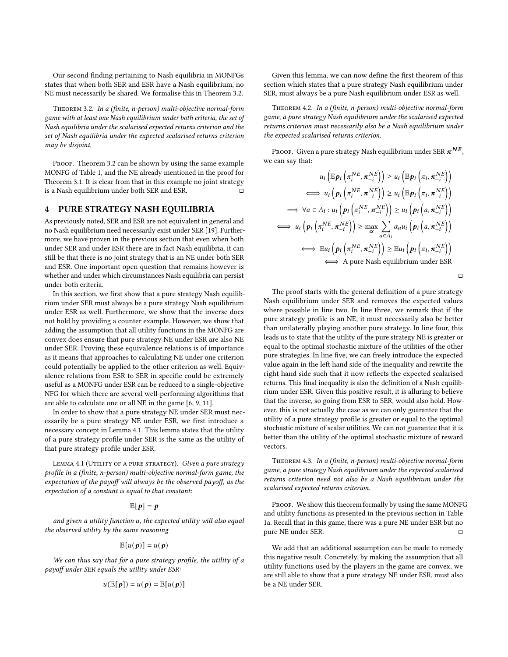Our second finding pertaining to Nash equilibria in MONFGs states that when both SER and ESR have a Nash equilibrium, no NE must necessarily be shared. We formalise this in Theorem [3.2.](#page-3-0)

<span id="page-3-0"></span>Theorem 3.2. In a (finite, n-person) multi-objective normal-form game with at least one Nash equilibrium under both criteria, the set of Nash equilibria under the scalarised expected returns criterion and the set of Nash equilibria under the expected scalarised returns criterion may be disjoint.

PROOF. Theorem [3.2](#page-3-0) can be shown by using the same example MONFG of Table [1,](#page-2-1) and the NE already mentioned in the proof for Theorem [3.1.](#page-2-0) It is clear from that in this example no joint strategy is a Nash equilibrium under both SER and ESR.  $□$ 

#### 4 PURE STRATEGY NASH EQUILIBRIA

As previously noted, SER and ESR are not equivalent in general and no Nash equilibrium need necessarily exist under SER [\[19\]](#page-5-5). Furthermore, we have proven in the previous section that even when both under SER and under ESR there are in fact Nash equilibria, it can still be that there is no joint strategy that is an NE under both SER and ESR. One important open question that remains however is whether and under which circumstances Nash equilibria can persist under both criteria.

In this section, we first show that a pure strategy Nash equilibrium under SER must always be a pure strategy Nash equilibrium under ESR as well. Furthermore, we show that the inverse does not hold by providing a counter example. However, we show that adding the assumption that all utility functions in the MONFG are convex does ensure that pure strategy NE under ESR are also NE under SER. Proving these equivalence relations is of importance as it means that approaches to calculating NE under one criterion could potentially be applied to the other criterion as well. Equivalence relations from ESR to SER in specific could be extremely useful as a MONFG under ESR can be reduced to a single-objective NFG for which there are several well-performing algorithms that are able to calculate one or all NE in the game [\[6,](#page-5-11) [9,](#page-5-12) [11\]](#page-5-13).

In order to show that a pure strategy NE under SER must necessarily be a pure strategy NE under ESR, we first introduce a necessary concept in Lemma [4.1.](#page-3-1) This lemma states that the utility of a pure strategy profile under SER is the same as the utility of that pure strategy profile under ESR.

<span id="page-3-1"></span>LEMMA 4.1 (UTILITY OF A PURE STRATEGY). Given a pure strategy profile in a (finite, n-person) multi-objective normal-form game, the expectation of the payoff will always be the observed payoff, as the expectation of a constant is equal to that constant:

# $\mathbb{E}[p] = p$

and given a utility function  $u$ , the expected utility will also equal the observed utility by the same reasoning

$$
\mathbb{E}[u(\boldsymbol{p})] = u(\boldsymbol{p})
$$

We can thus say that for a pure strategy profile, the utility of a payoff under SER equals the utility under ESR:

$$
u(\mathbb{E}[p]) = u(p) = \mathbb{E}[u(p)]
$$

Given this lemma, we can now define the first theorem of this section which states that a pure strategy Nash equilibrium under SER, must always be a pure Nash equilibrium under ESR as well.

Theorem 4.2. In a (finite, n-person) multi-objective normal-form game, a pure strategy Nash equilibrium under the scalarised expected returns criterion must necessarily also be a Nash equilibrium under the expected scalarised returns criterion.

Proof. Given a pure strategy Nash equilibrium under SER  $\pi^{NE},$ we can say that:

$$
u_i\left(\mathbb{E}p_i\left(\pi_i^{NE}, \pi_{-i}^{NE}\right)\right) \ge u_i\left(\mathbb{E}p_i\left(\pi_i, \pi_{-i}^{NE}\right)\right)
$$
  
\n
$$
\iff u_i\left(p_i\left(\pi_i^{NE}, \pi_{-i}^{NE}\right)\right) \ge u_i\left(\mathbb{E}p_i\left(\pi_i, \pi_{-i}^{NE}\right)\right)
$$
  
\n
$$
\implies \forall a \in A_i : u_i\left(p_i\left(\pi_i^{NE}, \pi_{-i}^{NE}\right)\right) \ge u_i\left(p_i\left(a, \pi_{-i}^{NE}\right)\right)
$$
  
\n
$$
\iff u_i\left(p_i\left(\pi_i^{NE}, \pi_{-i}^{NE}\right)\right) \ge \max_{\alpha} \sum_{a \in A_i} \alpha_a u_i\left(p_i\left(a, \pi_{-i}^{NE}\right)\right)
$$
  
\n
$$
\iff \mathbb{E}u_i\left(p_i\left(\pi_i^{NE}, \pi_{-i}^{NE}\right)\right) \ge \mathbb{E}u_i\left(p_i\left(\pi_i, \pi_{-i}^{NE}\right)\right)
$$
  
\n
$$
\iff \text{A pure Nash equilibrium under ESR}
$$

□

The proof starts with the general definition of a pure strategy Nash equilibrium under SER and removes the expected values where possible in line two. In line three, we remark that if the pure strategy profile is an NE, it must necessarily also be better than unilaterally playing another pure strategy. In line four, this leads us to state that the utility of the pure strategy NE is greater or equal to the optimal stochastic mixture of the utilities of the other pure strategies. In line five, we can freely introduce the expected value again in the left hand side of the inequality and rewrite the right hand side such that it now reflects the expected scalarised returns. This final inequality is also the definition of a Nash equilibrium under ESR. Given this positive result, it is alluring to believe that the inverse, so going from ESR to SER, would also hold. However, this is not actually the case as we can only guarantee that the utility of a pure strategy profile is greater or equal to the optimal stochastic mixture of scalar utilities. We can not guarantee that it is better than the utility of the optimal stochastic mixture of reward vectors.

<span id="page-3-2"></span>Theorem 4.3. In a (finite, n-person) multi-objective normal-form game, a pure strategy Nash equilibrium under the expected scalarised returns criterion need not also be a Nash equilibrium under the scalarised expected returns criterion.

PROOF. We show this theorem formally by using the same MONFG and utility functions as presented in the previous section in Table [1a.](#page-2-1) Recall that in this game, there was a pure NE under ESR but no pure NE under SER. □

We add that an additional assumption can be made to remedy this negative result. Concretely, by making the assumption that all utility functions used by the players in the game are convex, we are still able to show that a pure strategy NE under ESR, must also be a NE under SER.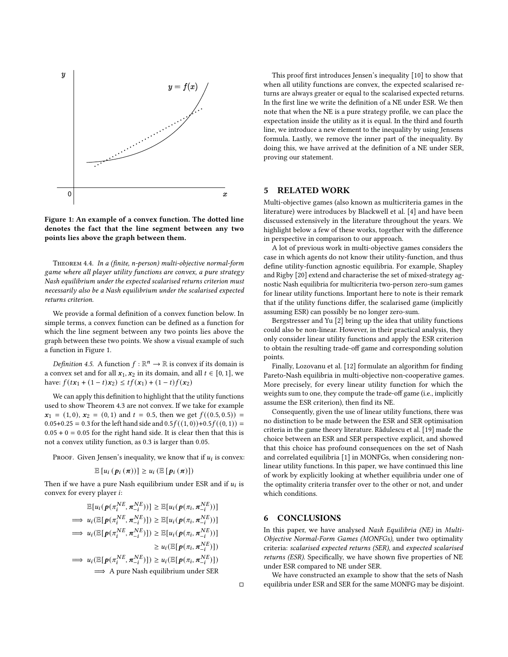<span id="page-4-0"></span>

Figure 1: An example of a convex function. The dotted line denotes the fact that the line segment between any two points lies above the graph between them.

Theorem 4.4. In a (finite, n-person) multi-objective normal-form game where all player utility functions are convex, a pure strategy Nash equilibrium under the expected scalarised returns criterion must necessarily also be a Nash equilibrium under the scalarised expected returns criterion.

We provide a formal definition of a convex function below. In simple terms, a convex function can be defined as a function for which the line segment between any two points lies above the graph between these two points. We show a visual example of such a function in Figure [1.](#page-4-0)

*Definition 4.5.* A function  $f : \mathbb{R}^n \to \mathbb{R}$  is convex if its domain is a convex set and for all  $x_1, x_2$  in its domain, and all  $t \in [0, 1]$ , we have:  $f(tx_1 + (1-t)x_2) \le tf(x_1) + (1-t)f(x_2)$ 

We can apply this definition to highlight that the utility functions used to show Theorem [4.3](#page-3-2) are not convex. If we take for example  $x_1 = (1, 0), x_2 = (0, 1)$  and  $t = 0.5$ , then we get  $f((0.5, 0.5)) =$  $0.05+0.25 = 0.3$  for the left hand side and  $0.5f((1,0))+0.5f((0,1)) =$  $0.05 + 0 = 0.05$  for the right hand side. It is clear then that this is not a convex utility function, as 0.3 is larger than 0.05.

Proof. Given Jensen's inequality, we know that if  $u_i$  is convex:

$$
\mathbb{E}\left[u_i\left(\mathbf{p}_i\left(\boldsymbol{\pi}\right)\right)\right]\geq u_i\left(\mathbb{E}\left[\mathbf{p}_i\left(\boldsymbol{\pi}\right)\right]\right)
$$

Then if we have a pure Nash equilibrium under ESR and if  $u_i$  is convex for every player *i*:

$$
\mathbb{E}[u_i(p(\pi_i^{NE}, \pi_{-i}^{NE}))] \geq \mathbb{E}[u_i(p(\pi_i, \pi_{-i}^{NE}))]
$$
\n
$$
\implies u_i(\mathbb{E}[p(\pi_i^{NE}, \pi_{-i}^{NE})]) \geq \mathbb{E}[u_i(p(\pi_i, \pi_{-i}^{NE}))]
$$
\n
$$
\implies u_i(\mathbb{E}[p(\pi_i^{NE}, \pi_{-i}^{NE})]) \geq \mathbb{E}[u_i(p(\pi_i, \pi_{-i}^{NE}))]
$$
\n
$$
\geq u_i(\mathbb{E}[p(\pi_i, \pi_{-i}^{NE})])
$$
\n
$$
\implies u_i(\mathbb{E}[p(\pi_i^{NE}, \pi_{-i}^{NE})]) \geq u_i(\mathbb{E}[p(\pi_i, \pi_{-i}^{NE})])
$$
\n
$$
\implies \text{A pure Nash equilibrium under SER}
$$

This proof first introduces Jensen's inequality [\[10\]](#page-5-14) to show that when all utility functions are convex, the expected scalarised returns are always greater or equal to the scalarised expected returns. In the first line we write the definition of a NE under ESR. We then note that when the NE is a pure strategy profile, we can place the expectation inside the utility as it is equal. In the third and fourth line, we introduce a new element to the inequality by using Jensens formula. Lastly, we remove the inner part of the inequality. By doing this, we have arrived at the definition of a NE under SER, proving our statement.

## 5 RELATED WORK

Multi-objective games (also known as multicriteria games in the literature) were introduces by Blackwell et al. [\[4\]](#page-5-15) and have been discussed extensively in the literature throughout the years. We highlight below a few of these works, together with the difference in perspective in comparison to our approach.

A lot of previous work in multi-objective games considers the case in which agents do not know their utility-function, and thus define utility-function agnostic equilibria. For example, Shapley and Rigby [\[20\]](#page-5-16) extend and characterise the set of mixed-strategy agnostic Nash equilibria for multicriteria two-person zero-sum games for linear utility functions. Important here to note is their remark that if the utility functions differ, the scalarised game (implicitly assuming ESR) can possibly be no longer zero-sum.

Bergstresser and Yu [\[2\]](#page-5-17) bring up the idea that utility functions could also be non-linear. However, in their practical analysis, they only consider linear utility functions and apply the ESR criterion to obtain the resulting trade-off game and corresponding solution points.

Finally, Lozovanu et al. [\[12\]](#page-5-18) formulate an algorithm for finding Pareto-Nash equilibria in multi-objective non-cooperative games. More precisely, for every linear utility function for which the weights sum to one, they compute the trade-off game (i.e., implicitly assume the ESR criterion), then find its NE.

Consequently, given the use of linear utility functions, there was no distinction to be made between the ESR and SER optimisation criteria in the game theory literature. Rădulescu et al. [\[19\]](#page-5-5) made the choice between an ESR and SER perspective explicit, and showed that this choice has profound consequences on the set of Nash and correlated equilibria [\[1\]](#page-5-19) in MONFGs, when considering nonlinear utility functions. In this paper, we have continued this line of work by explicitly looking at whether equilibria under one of the optimality criteria transfer over to the other or not, and under which conditions.

## 6 CONCLUSIONS

In this paper, we have analysed Nash Equilibria (NE) in Multi-Objective Normal-Form Games (MONFGs), under two optimality criteria: scalarised expected returns (SER), and expected scalarised returns (ESR). Specifically, we have shown five properties of NE under ESR compared to NE under SER.

We have constructed an example to show that the sets of Nash equilibria under ESR and SER for the same MONFG may be disjoint.